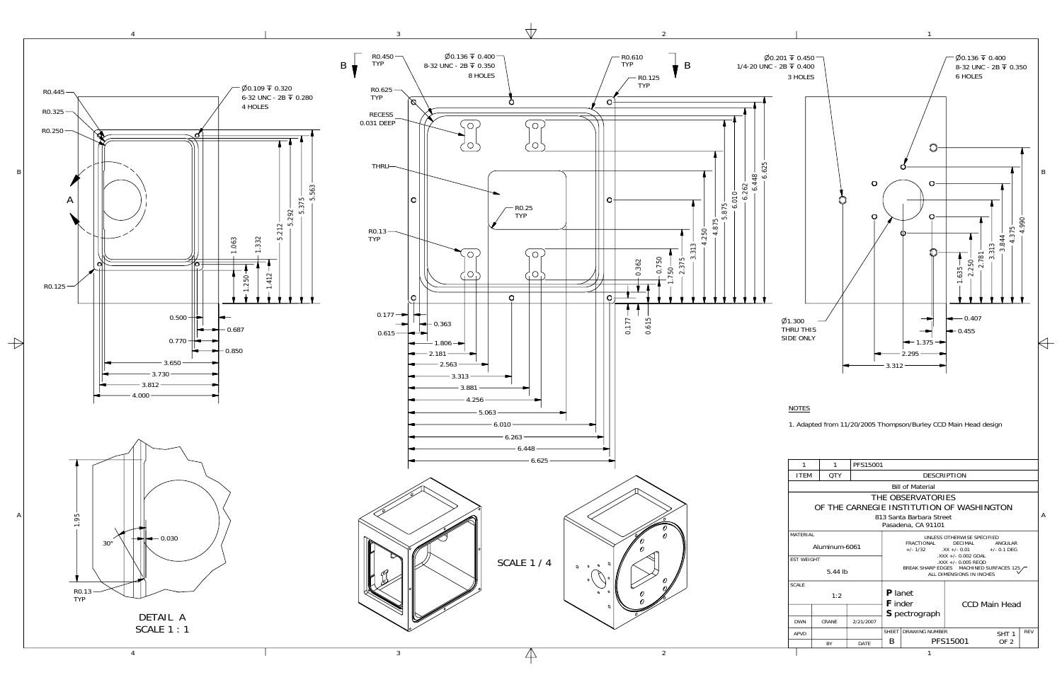